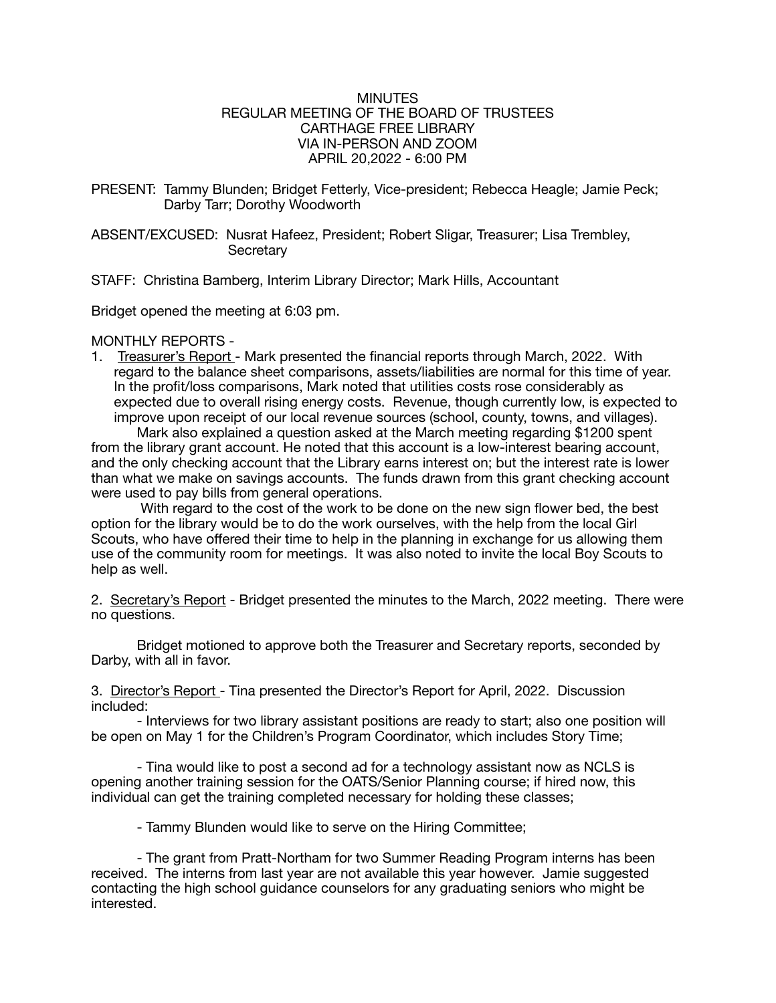### MINUTES REGULAR MEETING OF THE BOARD OF TRUSTEES CARTHAGE FREE LIBRARY VIA IN-PERSON AND ZOOM APRIL 20,2022 - 6:00 PM

PRESENT: Tammy Blunden; Bridget Fetterly, Vice-president; Rebecca Heagle; Jamie Peck; Darby Tarr; Dorothy Woodworth

ABSENT/EXCUSED: Nusrat Hafeez, President; Robert Sligar, Treasurer; Lisa Trembley, **Secretary** 

STAFF: Christina Bamberg, Interim Library Director; Mark Hills, Accountant

Bridget opened the meeting at 6:03 pm.

### MONTHLY REPORTS -

1. Treasurer's Report - Mark presented the financial reports through March, 2022. With regard to the balance sheet comparisons, assets/liabilities are normal for this time of year. In the profit/loss comparisons, Mark noted that utilities costs rose considerably as expected due to overall rising energy costs. Revenue, though currently low, is expected to improve upon receipt of our local revenue sources (school, county, towns, and villages).

Mark also explained a question asked at the March meeting regarding \$1200 spent from the library grant account. He noted that this account is a low-interest bearing account, and the only checking account that the Library earns interest on; but the interest rate is lower than what we make on savings accounts. The funds drawn from this grant checking account were used to pay bills from general operations.

 With regard to the cost of the work to be done on the new sign flower bed, the best option for the library would be to do the work ourselves, with the help from the local Girl Scouts, who have offered their time to help in the planning in exchange for us allowing them use of the community room for meetings. It was also noted to invite the local Boy Scouts to help as well.

2. Secretary's Report - Bridget presented the minutes to the March, 2022 meeting. There were no questions.

Bridget motioned to approve both the Treasurer and Secretary reports, seconded by Darby, with all in favor.

3. Director's Report - Tina presented the Director's Report for April, 2022. Discussion included:

- Interviews for two library assistant positions are ready to start; also one position will be open on May 1 for the Children's Program Coordinator, which includes Story Time;

- Tina would like to post a second ad for a technology assistant now as NCLS is opening another training session for the OATS/Senior Planning course; if hired now, this individual can get the training completed necessary for holding these classes;

- Tammy Blunden would like to serve on the Hiring Committee;

- The grant from Pratt-Northam for two Summer Reading Program interns has been received. The interns from last year are not available this year however. Jamie suggested contacting the high school guidance counselors for any graduating seniors who might be interested.